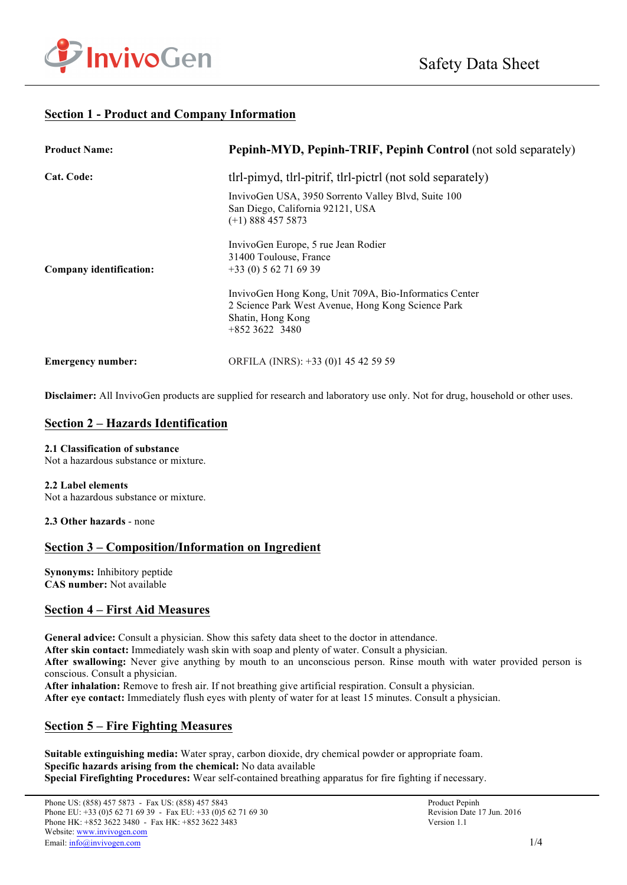

## **Section 1 - Product and Company Information**

| <b>Product Name:</b>     | Pepinh-MYD, Pepinh-TRIF, Pepinh Control (not sold separately)                                                                                                                                                                  |
|--------------------------|--------------------------------------------------------------------------------------------------------------------------------------------------------------------------------------------------------------------------------|
| Cat. Code:               | the thristing the pitting the picture of the solid separately of the separately of the separately of the separately of the separately of the separately of the separately of the separately of the separately of the separatel |
|                          | InvivoGen USA, 3950 Sorrento Valley Blvd, Suite 100<br>San Diego, California 92121, USA<br>$(+1)$ 888 457 5873                                                                                                                 |
| Company identification:  | InvivoGen Europe, 5 rue Jean Rodier<br>31400 Toulouse, France<br>$+33(0) 562716939$                                                                                                                                            |
|                          | InvivoGen Hong Kong, Unit 709A, Bio-Informatics Center<br>2 Science Park West Avenue, Hong Kong Science Park<br>Shatin, Hong Kong<br>$+85236223480$                                                                            |
| <b>Emergency number:</b> | ORFILA (INRS): +33 (0)1 45 42 59 59                                                                                                                                                                                            |

**Disclaimer:** All InvivoGen products are supplied for research and laboratory use only. Not for drug, household or other uses.

### **Section 2 – Hazards Identification**

#### **2.1 Classification of substance**

Not a hazardous substance or mixture.

#### **2.2 Label elements**

Not a hazardous substance or mixture.

**2.3 Other hazards** - none

## **Section 3 – Composition/Information on Ingredient**

**Synonyms:** Inhibitory peptide **CAS number:** Not available

## **Section 4 – First Aid Measures**

**General advice:** Consult a physician. Show this safety data sheet to the doctor in attendance.

**After skin contact:** Immediately wash skin with soap and plenty of water. Consult a physician.

**After swallowing:** Never give anything by mouth to an unconscious person. Rinse mouth with water provided person is conscious. Consult a physician.

**After inhalation:** Remove to fresh air. If not breathing give artificial respiration. Consult a physician.

**After eye contact:** Immediately flush eyes with plenty of water for at least 15 minutes. Consult a physician.

## **Section 5 – Fire Fighting Measures**

**Suitable extinguishing media:** Water spray, carbon dioxide, dry chemical powder or appropriate foam. **Specific hazards arising from the chemical:** No data available **Special Firefighting Procedures:** Wear self-contained breathing apparatus for fire fighting if necessary.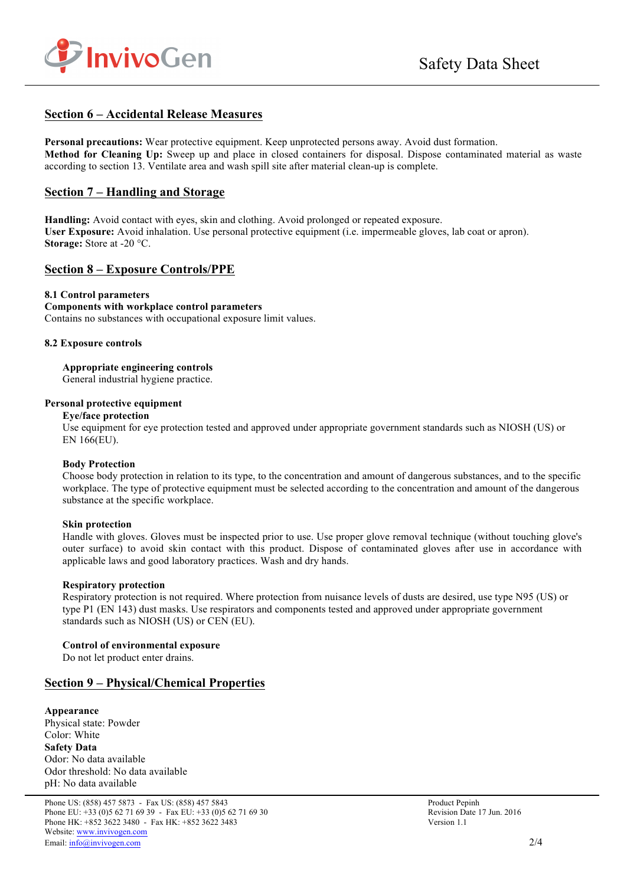

### **Section 6 – Accidental Release Measures**

**Personal precautions:** Wear protective equipment. Keep unprotected persons away. Avoid dust formation. **Method for Cleaning Up:** Sweep up and place in closed containers for disposal. Dispose contaminated material as waste according to section 13. Ventilate area and wash spill site after material clean-up is complete.

### **Section 7 – Handling and Storage**

**Handling:** Avoid contact with eyes, skin and clothing. Avoid prolonged or repeated exposure. **User Exposure:** Avoid inhalation. Use personal protective equipment (i.e. impermeable gloves, lab coat or apron). **Storage:** Store at -20 °C.

### **Section 8 – Exposure Controls/PPE**

#### **8.1 Control parameters**

**Components with workplace control parameters**  Contains no substances with occupational exposure limit values.

#### **8.2 Exposure controls**

**Appropriate engineering controls** General industrial hygiene practice.

#### **Personal protective equipment**

**Eye/face protection**

Use equipment for eye protection tested and approved under appropriate government standards such as NIOSH (US) or EN 166(EU).

#### **Body Protection**

Choose body protection in relation to its type, to the concentration and amount of dangerous substances, and to the specific workplace. The type of protective equipment must be selected according to the concentration and amount of the dangerous substance at the specific workplace.

#### **Skin protection**

Handle with gloves. Gloves must be inspected prior to use. Use proper glove removal technique (without touching glove's outer surface) to avoid skin contact with this product. Dispose of contaminated gloves after use in accordance with applicable laws and good laboratory practices. Wash and dry hands.

#### **Respiratory protection**

Respiratory protection is not required. Where protection from nuisance levels of dusts are desired, use type N95 (US) or type P1 (EN 143) dust masks. Use respirators and components tested and approved under appropriate government standards such as NIOSH (US) or CEN (EU).

#### **Control of environmental exposure**

Do not let product enter drains.

### **Section 9 – Physical/Chemical Properties**

**Appearance** Physical state: Powder Color: White **Safety Data** Odor: No data available Odor threshold: No data available pH: No data available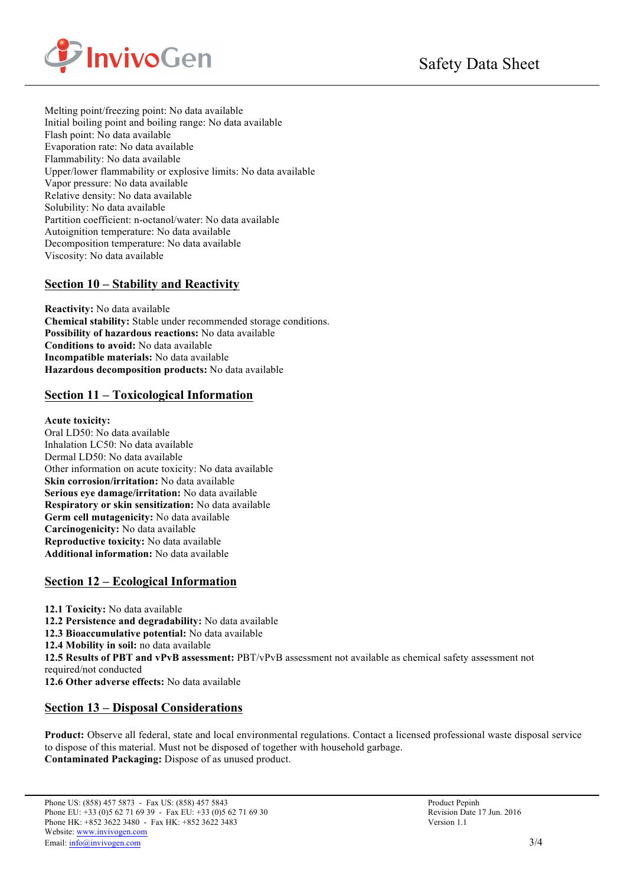

Melting point/freezing point: No data available Initial boiling point and boiling range: No data available Flash point: No data available Evaporation rate: No data available Flammability: No data available Upper/lower flammability or explosive limits: No data available Vapor pressure: No data available Relative density: No data available Solubility: No data available Partition coefficient: n-octanol/water: No data available Autoignition temperature: No data available Decomposition temperature: No data available Viscosity: No data available

# **Section 10 – Stability and Reactivity**

**Reactivity:** No data available **Chemical stability:** Stable under recommended storage conditions. **Possibility of hazardous reactions:** No data available **Conditions to avoid:** No data available **Incompatible materials:** No data available **Hazardous decomposition products:** No data available

## **Section 11 – Toxicological Information**

### **Acute toxicity:**

Oral LD50: No data available Inhalation LC50: No data available Dermal LD50: No data available Other information on acute toxicity: No data available **Skin corrosion/irritation:** No data available **Serious eye damage/irritation:** No data available **Respiratory or skin sensitization:** No data available **Germ cell mutagenicity:** No data available **Carcinogenicity:** No data available **Reproductive toxicity:** No data available **Additional information:** No data available

## **Section 12 – Ecological Information**

**12.1 Toxicity:** No data available **12.2 Persistence and degradability:** No data available **12.3 Bioaccumulative potential:** No data available **12.4 Mobility in soil:** no data available **12.5 Results of PBT and vPvB assessment:** PBT/vPvB assessment not available as chemical safety assessment not required/not conducted **12.6 Other adverse effects:** No data available

## **Section 13 – Disposal Considerations**

**Product:** Observe all federal, state and local environmental regulations. Contact a licensed professional waste disposal service to dispose of this material. Must not be disposed of together with household garbage. **Contaminated Packaging:** Dispose of as unused product.